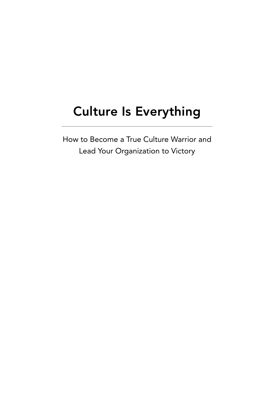# Culture Is Everything

How to Become a True Culture Warrior and Lead Your Organization to Victory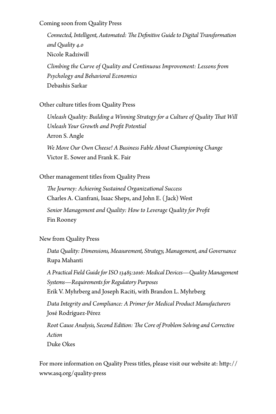Coming soon from Quality Press

*Connected, Intelligent, Automated: The Definitive Guide to Digital Transformation and Quality 4.0* Nicole Radziwill *Climbing the Curve of Quality and Continuous Improvement: Lessons from Psychology and Behavioral Economics*

Debashis Sarkar

Other culture titles from Quality Press

*Unleash Quality: Building a Winning Strategy for a Culture of Quality That Will Unleash Your Growth and Profit Potential* Arron S. Angle *We Move Our Own Cheese! A Business Fable About Championing Change* Victor E. Sower and Frank K. Fair

Other management titles from Quality Press

*The Journey: Achieving Sustained Organizational Success* Charles A. Cianfrani, Isaac Sheps, and John E. ( Jack) West *Senior Management and Quality: How to Leverage Quality for Profit* Fin Rooney

New from Quality Press

*Data Quality: Dimensions, Measurement, Strategy, Management, and Governance* Rupa Mahanti

*A Practical Field Guide for ISO 13485:2016: Medical Devices—Quality Management Systems—Requirements for Regulatory Purposes* Erik V. Myhrberg and Joseph Raciti, with Brandon L. Myhrberg

*Data Integrity and Compliance: A Primer for Medical Product Manufacturers* José Rodríguez-Pérez

*Root Cause Analysis, Second Edition: The Core of Problem Solving and Corrective Action*

Duke Okes

For more information on Quality Press titles, please visit our website at: http:// www.asq.org/quality-press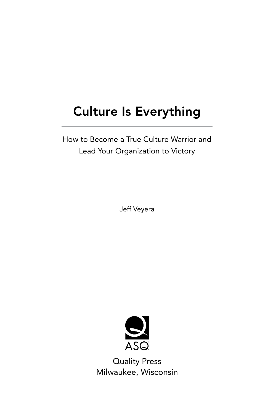# Culture Is Everything

How to Become a True Culture Warrior and Lead Your Organization to Victory

Jeff Veyera



Quality Press Milwaukee, Wisconsin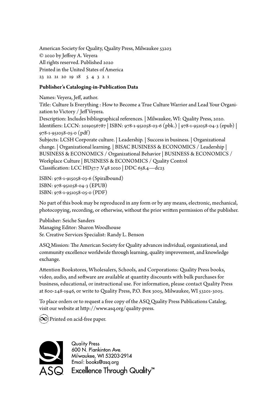American Society for Quality, Quality Press, Milwaukee 53203 © 2020 by Jeffrey A. Veyera All rights reserved. Published 2020 Printed in the United States of America 23 22 21 20 19 18 5 4 3 2 1

## **Publisher's Cataloging-in-Publication Data**

Names: Veyera, Jeff, author. Title: Culture Is Everything : How to Become a True Culture Warrior and Lead Your Organization to Victory / Jeff Veyera. Description: Includes bibliographical references. | Milwaukee, WI: Quality Press, 2020. Identifiers: LCCN: 2019056787 | ISBN: 978-1-951058-03-6 (pbk.) | 978-1-951058-04-3 (epub) | 978-1-951058-05-0 (pdf) Subjects: LCSH Corporate culture. | Leadership. | Success in business. | Organizational change. | Organizational learning. | BISAC BUSINESS & ECONOMICS / Leadership | BUSINESS & ECONOMICS / Organizational Behavior | BUSINESS & ECONOMICS / Workplace Culture | BUSINESS & ECONOMICS / Quality Control Classification: LCC HD57.7 .V48 2020 | DDC 658.4—dc23

ISBN: 978-1-915058-03-6 (Spiralbound) ISBN: 978-951058-04-3 (EPUB) ISBN: 978-1-951058-05-0 (PDF)

No part of this book may be reproduced in any form or by any means, electronic, mechanical, photocopying, recording, or otherwise, without the prior written permission of the publisher.

Publisher: Seiche Sanders Managing Editor: Sharon Woodhouse Sr. Creative Services Specialist: Randy L. Benson

ASQ Mission: The American Society for Quality advances individual, organizational, and community excellence worldwide through learning, quality improvement, and knowledge exchange.

Attention Bookstores, Wholesalers, Schools, and Corporations: Quality Press books, video, audio, and software are available at quantity discounts with bulk purchases for business, educational, or instructional use. For information, please contact Quality Press at 800-248-1946, or write to Quality Press, P.O. Box 3005, Milwaukee, WI 53201-3005.

To place orders or to request a free copy of the ASQ Quality Press Publications Catalog, visit our website at http://www.asq.org/quality-press.

 $(\infty)$  Printed on acid-free paper.



**Quality Press** 600 N. Plankinton Ave. Milwaukee, WI 53203-2914 Email: books@asq.org  $\mathbf{\mathsf{Q}}$  Excellence Through Quality™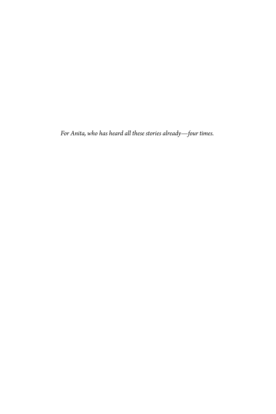*For Anita, who has heard all these stories already—four times.*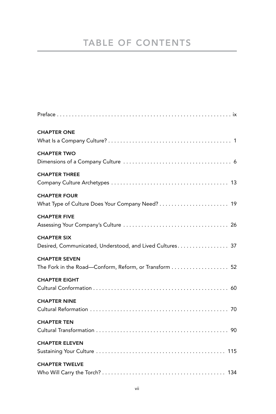## TABLE OF CONTENTS

| <b>CHAPTER ONE</b>                                                             |
|--------------------------------------------------------------------------------|
| <b>CHAPTER TWO</b>                                                             |
| <b>CHAPTER THREE</b>                                                           |
| <b>CHAPTER FOUR</b><br>What Type of Culture Does Your Company Need?  19        |
| <b>CHAPTER FIVE</b>                                                            |
| <b>CHAPTER SIX</b><br>Desired, Communicated, Understood, and Lived Cultures 37 |
| <b>CHAPTER SEVEN</b><br>The Fork in the Road-Conform, Reform, or Transform  52 |
| <b>CHAPTER EIGHT</b>                                                           |
| <b>CHAPTER NINE</b>                                                            |
| <b>CHAPTER TEN</b>                                                             |
| <b>CHAPTER ELEVEN</b>                                                          |
| <b>CHAPTER TWELVE</b>                                                          |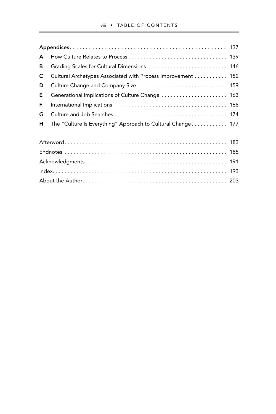| A |                                                             |  |  |  |  |
|---|-------------------------------------------------------------|--|--|--|--|
| в |                                                             |  |  |  |  |
| C | Cultural Archetypes Associated with Process Improvement 152 |  |  |  |  |
| D |                                                             |  |  |  |  |
| Е | Generational Implications of Culture Change  163            |  |  |  |  |
| F |                                                             |  |  |  |  |
| G |                                                             |  |  |  |  |
| н | The "Culture Is Everything" Approach to Cultural Change 177 |  |  |  |  |
|   |                                                             |  |  |  |  |
|   |                                                             |  |  |  |  |
|   |                                                             |  |  |  |  |
|   |                                                             |  |  |  |  |
|   |                                                             |  |  |  |  |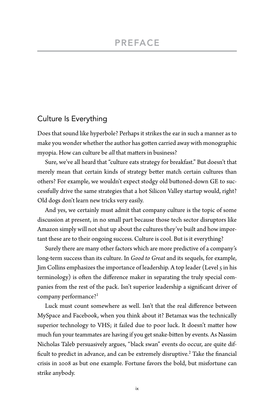## Culture Is Everything

Does that sound like hyperbole? Perhaps it strikes the ear in such a manner as to make you wonder whether the author has gotten carried away with monographic myopia. How can culture be *all* that matters in business?

Sure, we've all heard that "culture eats strategy for breakfast." But doesn't that merely mean that certain kinds of strategy better match certain cultures than others? For example, we wouldn't expect stodgy old buttoned-down GE to successfully drive the same strategies that a hot Silicon Valley startup would, right? Old dogs don't learn new tricks very easily.

And yes, we certainly must admit that company culture is the topic of some discussion at present, in no small part because those tech sector disruptors like Amazon simply will not shut up about the cultures they've built and how important these are to their ongoing success. Culture is cool. But is it everything?

Surely there are many other factors which are more predictive of a company's long-term success than its culture. In *Good to Great* and its sequels, for example, Jim Collins emphasizes the importance of leadership. A top leader (Level 5 in his terminology) is often the difference maker in separating the truly special companies from the rest of the pack. Isn't superior leadership a significant driver of company performance?<sup>1</sup>

Luck must count somewhere as well. Isn't that the real difference between MySpace and Facebook, when you think about it? Betamax was the technically superior technology to VHS; it failed due to poor luck. It doesn't matter how much fun your teammates are having if you get snake-bitten by events. As Nassim Nicholas Taleb persuasively argues, "black swan" events do occur, are quite difficult to predict in advance, and can be extremely disruptive.<sup>2</sup> Take the financial crisis in 2008 as but one example. Fortune favors the bold, but misfortune can strike anybody.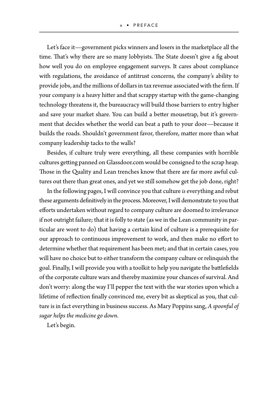Let's face it—government picks winners and losers in the marketplace all the time. That's why there are so many lobbyists. The State doesn't give a fig about how well you do on employee engagement surveys. It cares about compliance with regulations, the avoidance of antitrust concerns, the company's ability to provide jobs, and the millions of dollars in tax revenue associated with the firm. If your company is a heavy hitter and that scrappy startup with the game-changing technology threatens it, the bureaucracy will build those barriers to entry higher and save your market share. You can build a better mousetrap, but it's government that decides whether the world can beat a path to your door—because it builds the roads. Shouldn't government favor, therefore, matter more than what company leadership tacks to the walls?

Besides, if culture truly were everything, all these companies with horrible cultures getting panned on Glassdoor.com would be consigned to the scrap heap. Those in the Quality and Lean trenches know that there are far more awful cultures out there than great ones, and yet we still somehow get the job done, right?

In the following pages, I will convince you that culture *is* everything and rebut these arguments definitively in the process. Moreover, I will demonstrate to you that efforts undertaken without regard to company culture are doomed to irrelevance if not outright failure; that it is folly to state (as we in the Lean community in particular are wont to do) that having a certain kind of culture is a prerequisite for our approach to continuous improvement to work, and then make no effort to determine whether that requirement has been met; and that in certain cases, you will have no choice but to either transform the company culture or relinquish the goal. Finally, I will provide you with a toolkit to help you navigate the battlefields of the corporate culture wars and thereby maximize your chances of survival. And don't worry: along the way I'll pepper the text with the war stories upon which a lifetime of reflection finally convinced me, every bit as skeptical as you, that culture is in fact everything in business success. As Mary Poppins sang, *A spoonful of sugar helps the medicine go down*.

Let's begin.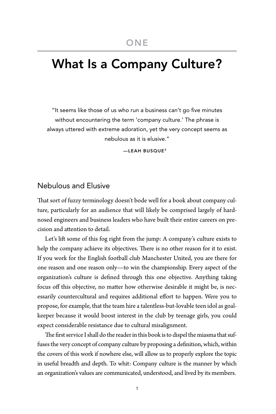## What Is a Company Culture?

"It seems like those of us who run a business can't go five minutes without encountering the term 'company culture.' The phrase is always uttered with extreme adoration, yet the very concept seems as nebulous as it is elusive."

—LEAH BUSQUE3

## Nebulous and Elusive

That sort of fuzzy terminology doesn't bode well for a book about company culture, particularly for an audience that will likely be comprised largely of hardnosed engineers and business leaders who have built their entire careers on precision and attention to detail.

Let's lift some of this fog right from the jump: A company's culture exists to help the company achieve its objectives. There is no other reason for it to exist. If you work for the English football club Manchester United, you are there for one reason and one reason only—to win the championship. Every aspect of the organization's culture is defined through this one objective. Anything taking focus off this objective, no matter how otherwise desirable it might be, is necessarily countercultural and requires additional effort to happen. Were you to propose, for example, that the team hire a talentless-but-lovable teen idol as goalkeeper because it would boost interest in the club by teenage girls, you could expect considerable resistance due to cultural misalignment.

The first service I shall do the reader in this book is to dispel the miasma that suffuses the very concept of company culture by proposing a definition, which, within the covers of this work if nowhere else, will allow us to properly explore the topic in useful breadth and depth. To whit: Company culture is the manner by which an organization's values are communicated, understood, and lived by its members.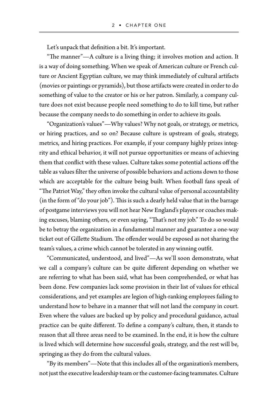Let's unpack that definition a bit. It's important.

"The manner"—A culture is a living thing; it involves motion and action. It is a way of doing something. When we speak of American culture or French culture or Ancient Egyptian culture, we may think immediately of cultural artifacts (movies or paintings or pyramids), but those artifacts were created in order to do something of value to the creator or his or her patron. Similarly, a company culture does not exist because people need something to do to kill time, but rather because the company needs to do something in order to achieve its goals.

"Organization's values"—Why values? Why not goals, or strategy, or metrics, or hiring practices, and so on? Because culture is upstream of goals, strategy, metrics, and hiring practices. For example, if your company highly prizes integrity and ethical behavior, it will not pursue opportunities or means of achieving them that conflict with these values. Culture takes some potential actions off the table as values filter the universe of possible behaviors and actions down to those which are acceptable for the culture being built. When football fans speak of "The Patriot Way," they often invoke the cultural value of personal accountability (in the form of "do your job"). This is such a dearly held value that in the barrage of postgame interviews you will not hear New England's players or coaches making excuses, blaming others, or even saying, "That's not my job." To do so would be to betray the organization in a fundamental manner and guarantee a one-way ticket out of Gillette Stadium. The offender would be exposed as not sharing the team's values, a crime which cannot be tolerated in any winning outfit.

"Communicated, understood, and lived"—As we'll soon demonstrate, what we call a company's culture can be quite different depending on whether we are referring to what has been said, what has been comprehended, or what has been done. Few companies lack some provision in their list of values for ethical considerations, and yet examples are legion of high-ranking employees failing to understand how to behave in a manner that will not land the company in court. Even where the values are backed up by policy and procedural guidance, actual practice can be quite different. To define a company's culture, then, it stands to reason that all three areas need to be examined. In the end, it is how the culture is lived which will determine how successful goals, strategy, and the rest will be, springing as they do from the cultural values.

"By its members"—Note that this includes all of the organization's members, not just the executive leadership team or the customer-facing teammates. Culture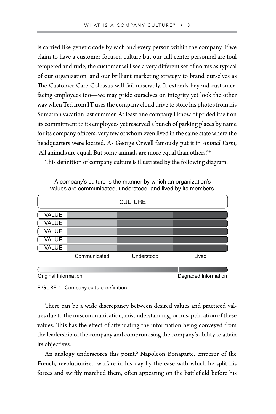is carried like genetic code by each and every person within the company. If we claim to have a customer-focused culture but our call center personnel are foul tempered and rude, the customer will see a very different set of norms as typical of our organization, and our brilliant marketing strategy to brand ourselves as The Customer Care Colossus will fail miserably. It extends beyond customerfacing employees too—we may pride ourselves on integrity yet look the other way when Ted from IT uses the company cloud drive to store his photos from his Sumatran vacation last summer. At least one company I know of prided itself on its commitment to its employees yet reserved a bunch of parking places by name for its company officers, very few of whom even lived in the same state where the headquarters were located. As George Orwell famously put it in *Animal Farm*, "All animals are equal. But some animals are more equal than others."4

This definition of company culture is illustrated by the following diagram.

|              |              | <b>CULTURE</b> |       |
|--------------|--------------|----------------|-------|
| <b>VALUE</b> |              |                |       |
| <b>VALUE</b> |              |                |       |
| <b>VALUE</b> |              |                |       |
| <b>VALUE</b> |              |                |       |
| <b>VALUE</b> |              |                |       |
|              | Communicated | Understood     | Lived |

A company's culture is the manner by which an organization's values are communicated, understood, and lived by its members.

Original Information **Degraded Information** 

FIGURE 1. Company culture definition

There can be a wide discrepancy between desired values and practiced values due to the miscommunication, misunderstanding, or misapplication of these values. This has the effect of attenuating the information being conveyed from the leadership of the company and compromising the company's ability to attain its objectives.

An analogy underscores this point.<sup>5</sup> Napoleon Bonaparte, emperor of the French, revolutionized warfare in his day by the ease with which he split his forces and swiftly marched them, often appearing on the battlefield before his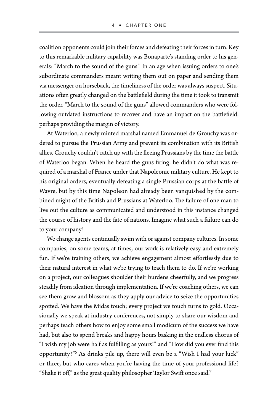coalition opponents could join their forces and defeating their forces in turn. Key to this remarkable military capability was Bonaparte's standing order to his generals: "March to the sound of the guns." In an age when issuing orders to one's subordinate commanders meant writing them out on paper and sending them via messenger on horseback, the timeliness of the order was always suspect. Situations often greatly changed on the battlefield during the time it took to transmit the order. "March to the sound of the guns" allowed commanders who were following outdated instructions to recover and have an impact on the battlefield, perhaps providing the margin of victory.

At Waterloo, a newly minted marshal named Emmanuel de Grouchy was ordered to pursue the Prussian Army and prevent its combination with its British allies. Grouchy couldn't catch up with the fleeing Prussians by the time the battle of Waterloo began. When he heard the guns firing, he didn't do what was required of a marshal of France under that Napoleonic military culture. He kept to his original orders, eventually defeating a single Prussian corps at the battle of Wavre, but by this time Napoleon had already been vanquished by the combined might of the British and Prussians at Waterloo. The failure of one man to live out the culture as communicated and understood in this instance changed the course of history and the fate of nations. Imagine what such a failure can do to your company!

We change agents continually swim with or against company cultures. In some companies, on some teams, at times, our work is relatively easy and extremely fun. If we're training others, we achieve engagement almost effortlessly due to their natural interest in what we're trying to teach them to do. If we're working on a project, our colleagues shoulder their burdens cheerfully, and we progress steadily from ideation through implementation. If we're coaching others, we can see them grow and blossom as they apply our advice to seize the opportunities spotted. We have the Midas touch; every project we touch turns to gold. Occasionally we speak at industry conferences, not simply to share our wisdom and perhaps teach others how to enjoy some small modicum of the success we have had, but also to spend breaks and happy hours basking in the endless chorus of "I wish my job were half as fulfilling as yours!" and "How did you ever find this opportunity?"6 As drinks pile up, there will even be a "Wish I had your luck" or three, but who cares when you're having the time of your professional life? "Shake it off," as the great quality philosopher Taylor Swift once said.<sup>7</sup>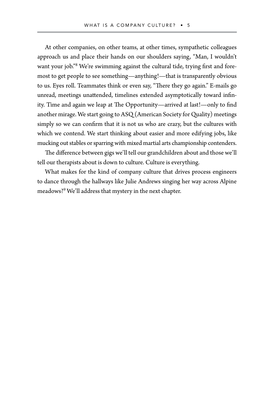At other companies, on other teams, at other times, sympathetic colleagues approach us and place their hands on our shoulders saying, "Man, I wouldn't want your job."<sup>8</sup> We're swimming against the cultural tide, trying first and foremost to get people to see something—anything!—that is transparently obvious to us. Eyes roll. Teammates think or even say, "There they go again." E-mails go unread, meetings unattended, timelines extended asymptotically toward infinity. Time and again we leap at The Opportunity—arrived at last!—only to find another mirage. We start going to ASQ (American Society for Quality) meetings simply so we can confirm that it is not us who are crazy, but the cultures with which we contend. We start thinking about easier and more edifying jobs, like mucking out stables or sparring with mixed martial arts championship contenders.

The difference between gigs we'll tell our grandchildren about and those we'll tell our therapists about is down to culture. Culture is everything.

What makes for the kind of company culture that drives process engineers to dance through the hallways like Julie Andrews singing her way across Alpine meadows?9 We'll address that mystery in the next chapter.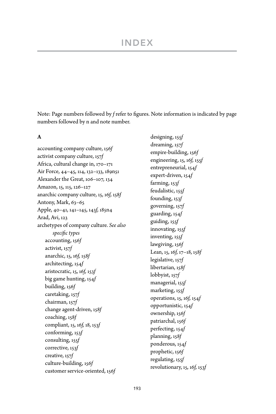## INDEX

Note: Page numbers followed by *f* refer to figures. Note information is indicated by page numbers followed by n and note number.

### **A**

accounting company culture, 156*f* activist company culture, 157*f* Africa, cultural change in, 170–171 Air Force, 44–45, 114, 132–133, 189n51 Alexander the Great, 106–107, 134 Amazon, 15, 115, 126–127 anarchic company culture, 15, 16*f,* 158*f* Antony, Mark, 63–65 Apple, 40–41, 141–145, 143*f,* 185n4 Arad, Avi, 123 archetypes of company culture. *See also specific types* accounting, 156*f* activist, 157*f* anarchic, 15, 16*f,* 158*f* architecting, 154*f* aristocratic, 15, 16*f,* 153*f* big game hunting, 154*f* building, 156*f* caretaking, 157*f* chairman, 157*f* change agent-driven, 158*f* coaching, 158*f* compliant, 15, 16*f,* 18, 153*f* conforming, 153*f* consulting, 155*f* corrective, 153*f* creative, 157*f* culture-building, 156*f* customer service-oriented, 156*f*

designing, 155*f* dreaming, 157*f* empire-building, 156*f* engineering, 15, 16*f,* 155*f* entrepreneurial, 154*f* expert-driven, 154*f* farming, 153*f* feudalistic, 155*f* founding, 153*f* governing, 157*f* guarding, 154*f* guiding, 155*f* innovating, 155*f* inventing, 155*f* lawgiving, 156*f* Lean, 15, 16*f,* 17–18, 158*f* legislative, 157*f* libertarian, 158*f* lobbyist, 157*f* managerial, 155*f* marketing, 155*f* operations, 15, 16*f,* 154*f* opportunistic, 154*f* ownership, 156*f* patriarchal, 156*f* perfecting, 154*f* planning, 158*f* ponderous, 154*f* prophetic, 156*f* regulating, 155*f* revolutionary, 15, 16*f,* 153*f*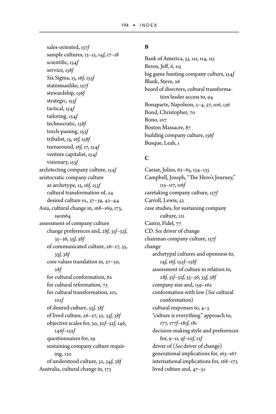sales-oriented, 157*f* sample cultures, 13–15, 14*f,* 17–18 scientific, 154*f* service, 158*f* Six Sigma, 15, 16*f,* 155*f* statesmanlike, 157*f* stewardship, 156*f* strategic, 155*f* tactical, 154*f* tailoring, 154*f* technocratic, 158*f* torch-passing, 153*f* tribalist, 15, 16*f,* 158*f* turnaround, 16*f,* 17, 154*f* venture capitalist, 154*f* visionary, 155*f* architecting company culture, 154*f* aristocratic company culture as archetype, 15, 16*f,* 153*f* cultural transformation of, 24 desired culture *vs.,* 37–39, 42–44 Asia, cultural change in, 168–169, 173, 190n64 assessment of company culture change preferences and, 28*f,* 31*f*–32*f,* 35–36, 35*f,* 38*f* of communicated culture, 26–27, 35, 35*f,* 38*f* core values translation in, 27–30, 28*f* for cultural conformation, 62 for cultural reformation, 73 for cultural transformation, 101, 102*f* of desired culture, 35*f,* 38*f* of lived culture, 26–27, 32, 33*f,* 38*f* objective scales for, 30, 30*f*–32*f,* 146, 146*f*–152*f* questionnaires for, 29 sustaining company culture requiring, 120 of understood culture, 32, 34*f,* 38*f* Australia, cultural change in, 173

## **B**

Bank of America, 55, 111, 114, 115 Bezos, Jeff, 6, 115 big game hunting company culture, 154*f* Blank, Steve, 26 board of directors, cultural transformation leader access to, 94 Bonaparte, Napoleon, 3–4, 57, 106, 136 Bond, Christopher, 70 Bono, 107 Boston Massacre, 87 building company culture, 156*f* Busque, Leah, 1

## **C**

Caesar, Julius, 63–65, 134–135 Campbell, Joseph, "The Hero's Journey," 115–117, 116*f* caretaking company culture, 157*f* Carroll, Lewis, 52 case studies, for sustaining company culture, 121 Castro, Fidel, 77 CD. *See* driver of change chairman company culture, 157*f* change archetypal cultures and openness to, 14*f,* 16*f,* 152*f*–158*f* assessment of culture in relation to, 28*f,* 31*f*–32*f,* 35–36, 35*f,* 38*f* company size and, 159–162 conformation with low (*See* cultural conformation) cultural responses to, 4–5 "culture is everything" approach to, 177, 177*f*–181*f,* 181 decision-making style and preferences for, 9–11, 9*f*–10*f,* 12*f* driver of (*See* driver of change) generational implications for, 163–167 international implications for, 168–173 lived culture and, 47–51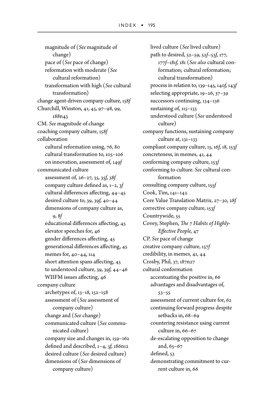magnitude of (*See* magnitude of change) pace of (*See* pace of change) reformation with moderate (*See* cultural reformation) transformation with high (*See* cultural transformation) change agent-driven company culture, 158*f* Churchill, Winston, 41, 45, 97–98, 99, 188n43 CM. *See* magnitude of change coaching company culture, 158*f* collaboration cultural reformation using, 76, 80 cultural transformation to, 105–106 on innovation, assessment of, 149*f* communicated culture assessment of, 26–27, 35, 35*f,* 38*f* company culture defined as, 1–2, 3*f* cultural differences affecting, 44–45 desired culture to, 39, 39*f,* 40–44 dimensions of company culture as, 9, 8*f* educational differences affecting, 45 elevator speeches for, 46 gender differences affecting, 45 generational differences affecting, 45 memes for, 40–44, 114 short attention spans affecting, 45 to understood culture, 39, 39*f,* 44–46 WIIFM issues affecting, 46 company culture archetypes of, 13–18, 152–158 assessment of (*See* assessment of company culture) change and (*See* change) communicated culture (*See* communicated culture) company size and changes in, 159–162 defined and described, 1–4, 3*f,* 186n12 desired culture (*See* desired culture) dimensions of (*See* dimensions of company culture)

lived culture (*See* lived culture) path to desired, 52–59, 52*f*–53*f,* 177, 177*f*–181*f,* 181 (*See also* cultural conformation; cultural reformation; cultural transformation) process in relation to, 139–145, 140*f,* 143*f* selecting appropriate, 19–26, 37–39 successors continuing, 134–136 sustaining of, 115–133 understood culture (*See* understood culture) company functions, sustaining company culture at, 131–133 compliant company culture, 15, 16*f,* 18, 153*f* concreteness, in memes, 41, 44 conforming company culture, 153*f* conforming to culture. *See* cultural conformation consulting company culture, 155*f* Cook, Tim, 141–142 Core Value Translation Matrix, 27–30, 28*f* corrective company culture, 153*f* Countrywide, 55 Covey, Stephen, *The 7 Habits of Highly-Effective People,* 47 CP. *See* pace of change creative company culture, 157*f* credibility, in memes, 41, 44 Crosby, Phil, 37, 187n27 cultural conformation accentuating the positive in, 66 advantages and disadvantages of, 53–55 assessment of current culture for, 62 continuing forward progress despite setbacks in, 68–69 countering resistance using current culture in, 66–67 de-escalating opposition to change and, 65–67 defined, 53 demonstrating commitment to current culture in, 66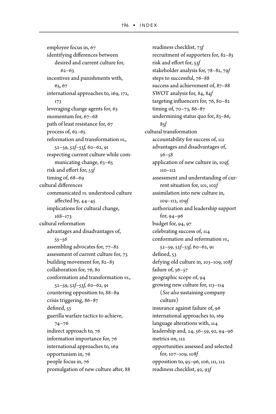employee focus in, 67 identifying differences between desired and current culture for, 62–63 incentives and punishments with, 65, 67 international approaches to, 169, 172, 173 leveraging change agents for, 63 momentum for, 67–68 path of least resistance for, 67 process of, 62–65 reformation and transformation *vs.,* 52–59, 52*f*–53*f,* 60–62, 91 respecting current culture while communicating change, 63–65 risk and effort for, 53*f* timing of, 68–69 cultural differences communicated *vs.* understood culture affected by, 44–45 implications for cultural change, 168–173 cultural reformation advantages and disadvantages of, 55–56 assembling advocates for, 77–82 assessment of current culture for, 73 building movement for, 82–83 collaboration for, 76, 80 conformation and transformation *vs.,* 52–59, 52*f*–53*f,* 60–62, 91 countering opposition to, 88–89 crisis triggering, 86–87 defined, 53 guerilla warfare tactics to achieve, 74–76 indirect approach to, 76 information importance for, 76 international approaches to, 169 opportunism in, 76 people focus in, 76 promulgation of new culture after, 88

readiness checklist, 73*f* recruitment of supporters for, 82–83 risk and effort for, 53*f* stakeholder analysis for, 78–82, 79*f* steps to successful, 76–88 success and achievement of, 87–88 SWOT analysis for, 84, 84*f* targeting influencers for, 76, 80–82 timing of, 70–73, 86–87 undermining status quo for, 83–86, 85*f* cultural transformation accountability for success of, 112 advantages and disadvantages of, 56–58 application of new culture in, 109*f,* 110–112 assessment and understanding of current situation for, 101, 102*f* assimilation into new culture in, 109–112, 109*f* authorization and leadership support for, 94–96 budget for, 94, 97 celebrating success of, 114 conformation and reformation *vs.,* 52–59, 52*f*–53*f,* 60–62, 91 defined, 53 defying old culture in, 103–109, 108*f* failure of, 56-57 geographic scope of, 94 growing new culture for, 113–114 (*See also* sustaining company culture) insurance against failure of, 96 international approaches to, 169 language alterations with, 114 leadership and, 24, 56–59, 92, 94–96 metrics on, 112 opportunities assessed and selected for, 107–109, 108*f* opposition to, 95–96, 106, 111, 112 readiness checklist, 92, 93*f*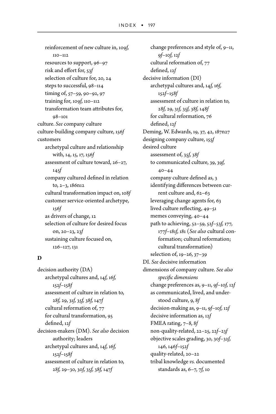reinforcement of new culture in, 109*f,* 110–112 resources to support, 96–97 risk and effort for, 53*f* selection of culture for, 20, 24 steps to successful, 98–114 timing of, 57–59, 90–92, 97 training for, 109*f,* 110–112 transformation team attributes for, 98–101 culture. *See* company culture culture-building company culture, 156*f* customers archetypal culture and relationship with, 14, 15, 17, 156*f* assessment of culture toward, 26–27, 145*f* company cultured defined in relation to, 2–3, 186n12 cultural transformation impact on, 108*f* customer service-oriented archetype, 156*f* as drivers of change, 12 selection of culture for desired focus on, 20–23, 23*f* sustaining culture focused on, 126–127, 131

#### **D**

decision authority (DA) archetypal cultures and, 14*f,* 16*f,* 152*f*–158*f* assessment of culture in relation to, 28*f,* 29, 31*f,* 35*f,* 38*f,* 147*f* cultural reformation of, 77 for cultural transformation, 95 defined, 12*f* decision-makers (DM). *See also* decision authority; leaders archetypal cultures and, 14*f,* 16*f,* 152*f*–158*f* assessment of culture in relation to, 28*f,* 29–30, 30*f,* 35*f,* 38*f,* 147*f*

change preferences and style of, 9–11, 9*f*–10*f,* 12*f* cultural reformation of, 77 defined, 12*f* decisive information (DI) archetypal cultures and, 14*f,* 16*f,* 152*f*–158*f* assessment of culture in relation to, 28*f,* 29, 31*f,* 35*f,* 38*f,* 148*f* for cultural reformation, 76 defined, 12*f* Deming, W. Edwards, 19, 37, 42, 187n27 designing company culture, 155*f* desired culture assessment of, 35*f,* 38*f* to communicated culture, 39, 39*f,*  $40 - 44$ company culture defined as, 3 identifying differences between current culture and, 62–63 leveraging change agents for, 63 lived culture reflecting, 49–51 memes conveying, 40–44 path to achieving, 52–59, 52*f*–53*f,* 177, 177*f*–181*f,* 181 (*See also* cultural conformation; cultural reformation; cultural transformation) selection of, 19–26, 37–39 DI. *See* decisive information dimensions of company culture. *See also specific dimensions* change preferences as, 9–11, 9*f*–10*f,* 12*f* as communicated, lived, and understood culture, 9, 8*f* decision-making as, 9–11, 9*f*–10*f,* 12*f* decisive information as, 12*f* FMEA rating, 7–8, 8*f* non-quality-related, 22–25, 22*f*–23*f* objective scales grading, 30, 30*f*–32*f,* 146, 146*f*–152*f* quality-related, 20–22 tribal knowledge *vs.* documented standards as, 6–7, 7*f,* 10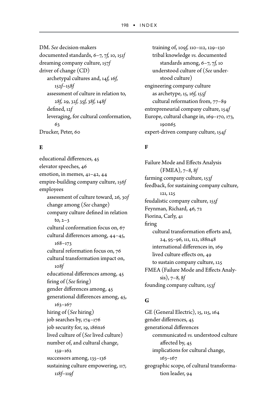DM. *See* decision-makers documented standards, 6–7, 7*f,* 10, 151*f* dreaming company culture, 157*f* driver of change (CD) archetypal cultures and, 14*f,* 16*f,* 152*f*–158*f* assessment of culture in relation to, 28*f,* 29, 32*f,* 35*f,* 38*f,* 148*f* defined, 12*f* leveraging, for cultural conformation, 63 Drucker, Peter, 60

### **E**

educational differences, 45 elevator speeches, 46 emotion, in memes, 41–42, 44 empire-building company culture, 156*f* employees assessment of culture toward, 26, 30*f* change among (*See* change) company culture defined in relation to,  $2-3$ cultural conformation focus on, 67 cultural differences among, 44–45, 168–173 cultural reformation focus on, 76 cultural transformation impact on, 108*f* educational differences among, 45 firing of (*See* firing) gender differences among, 45 generational differences among, 45, 163–167 hiring of (*See* hiring) job searches by, 174–176 job security for, 19, 186n16 lived culture of (*See* lived culture) number of, and cultural change, 159–162 successors among, 135-136 sustaining culture empowering, 117, 118*f*–119*f*

training of, 109*f,* 110–112, 129–130 tribal knowledge *vs.* documented standards among, 6–7, 7*f,* 10 understood culture of (*See* understood culture) engineering company culture as archetype, 15, 16*f,* 155*f* cultural reformation from, 77–89 entrepreneurial company culture, 154*f* Europe, cultural change in, 169–170, 173, 190n65 expert-driven company culture, 154*f*

## **F**

Failure Mode and Effects Analysis (FMEA), 7–8, 8*f* farming company culture, 153*f* feedback, for sustaining company culture, 121, 125 feudalistic company culture, 155*f* Feynman, Richard, 46, 72 Fiorina, Carly, 41 firing cultural transformation efforts and, 24, 95–96, 111, 112, 188n48 international differences in, 169 lived culture effects on, 49 to sustain company culture, 125 FMEA (Failure Mode and Effects Analysis), 7–8, 8*f* founding company culture, 153*f*

### **G**

GE (General Electric), 15, 115, 164 gender differences, 45 generational differences communicated *vs.* understood culture affected by, 45 implications for cultural change, 163–167 geographic scope, of cultural transformation leader, 94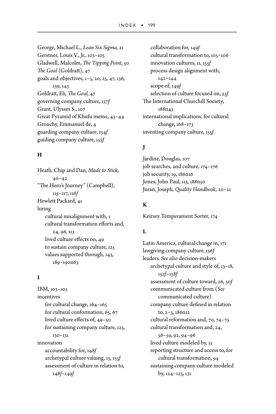George, Michael L., *Lean Six Sigma,* 21 Gerstner, Louis V., Jr., 103–105 Gladwell, Malcolm, *The Tipping Point,* 50 *The Goal* (Goldratt), 47 goals and objectives, 1–3, 20, 25, 47, 136, 139, 143 Goldratt, Eli, *The Goal,* 47 governing company culture, 157*f* Grant, Ulysses S., 107 Great Pyramid of Khufu meme, 43–44 Grouchy, Emmanuel de, 4 guarding company culture, 154*f* guiding company culture, 155*f*

### **H**

Heath, Chip and Dan, *Made to Stick,*  $40 - 42$ "The Hero's Journey" (Campbell), 115–117, 116*f* Hewlett Packard, 41 hiring cultural misalignment with, 1 cultural transformation efforts and, 24, 96, 113 lived culture effects on, 49 to sustain company culture, 125 values supported through, 143, 189–190n63

## **I**

IBM, 103–105 incentives for cultural change, 164–165 for cultural conformation, 65, 67 lived culture effects of, 49–50 for sustaining company culture, 125, 130–131 innovation accountability for, 148*f* archetypal culture valuing, 15, 155*f* assessment of culture in relation to, 148*f*–149*f*

collaboration for, 149*f* cultural transformation to, 105–106 innovation cultures, 11, 155*f* process design alignment with, 142–144 scope of, 149*f* selection of culture focused on, 23*f* The International Churchill Society, 188n43 international implications, for cultural change, 168–173 inventing company culture, 155*f*

## **J**

Jardine, Douglas, 107 job searches, and culture, 174–176 job security, 19, 186n16 Jones, John Paul, 113, 188n50 Juran, Joseph, *Quality Handbook,* 20–21

## **K**

Keirsey Temperament Sorter, 174

## **L**

Latin America, cultural change in, 171 lawgiving company culture, 156*f* leaders. *See also* decision-makers archetypal culture and style of, 13–18, 152*f*–158*f* assessment of culture toward, 26, 30*f* communicated culture from (*See* communicated culture) company culture defined in relation to, 2–3, 186n12 cultural reformation and, 70, 74–75 cultural transformation and, 24, 56–59, 92, 94–96 lived culture modeled by, 51 reporting structure and access to, for cultural transformation, 94 sustaining company culture modeled by, 124–125, 131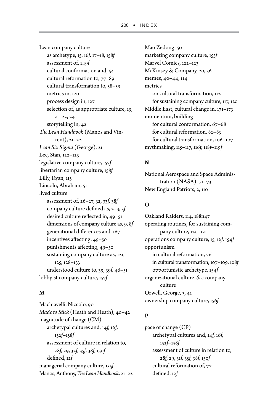Lean company culture as archetype, 15, 16*f,* 17–18, 158*f* assessment of, 149*f* cultural conformation and, 54 cultural reformation to, 77–89 cultural transformation to, 58–59 metrics in, 120 process design in, 127 selection of, as appropriate culture, 19, 21–22, 24 storytelling in, 42 *The Lean Handbook* (Manos and Vincent), 21–22 *Lean Six Sigma* (George), 21 Lee, Stan, 122–123 legislative company culture, 157*f* libertarian company culture, 158*f* Lilly, Ryan, 115 Lincoln, Abraham, 51 lived culture assessment of, 26–27, 32, 33*f,* 38*f* company culture defined as, 2–3, 3*f* desired culture reflected in, 49–51 dimensions of company culture as, 9, 8*f* generational differences and, 167 incentives affecting, 49–50 punishments affecting, 49–50 sustaining company culture as, 121, 125, 128–133 understood culture to, 39, 39*f,* 46–51 lobbyist company culture, 157*f*

#### **M**

Machiavelli, Niccolo, 90 *Made to Stick* (Heath and Heath), 40–42 magnitude of change (CM) archetypal cultures and, 14*f,* 16*f,* 152*f*–158*f* assessment of culture in relation to, 28*f,* 29, 32*f,* 35*f,* 38*f,* 150*f* defined, 12*f* managerial company culture, 155*f* Manos, Anthony, *The Lean Handbook,* 21–22 Mao Zedong, 50 marketing company culture, 155*f* Marvel Comics, 122–123 McKinsey & Company, 20, 56 memes, 40–44, 114 metrics on cultural transformation, 112 for sustaining company culture, 117, 120 Middle East, cultural change in, 171–173 momentum, building for cultural conformation, 67–68 for cultural reformation, 82–83 for cultural transformation, 106–107 mythmaking, 115–117, 116*f,* 118*f*–119*f*

### **N**

National Aerospace and Space Administration (NASA), 71–73 New England Patriots, 2, 110

## **O**

Oakland Raiders, 114, 188n47 operating routines, for sustaining company culture, 120–121 operations company culture, 15, 16*f,* 154*f* opportunism in cultural reformation, 76 in cultural transformation, 107–109, 108*f* opportunistic archetype, 154*f* organizational culture. *See* company culture Orwell, George, 3, 41 ownership company culture, 156*f*

## **P**

pace of change (CP) archetypal cultures and, 14*f,* 16*f,* 152*f*–158*f* assessment of culture in relation to, 28*f,* 29, 31*f,* 35*f,* 38*f,* 150*f* cultural reformation of, 77 defined, 12*f*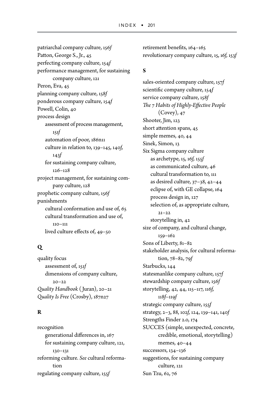patriarchal company culture, 156*f* Patton, George S., Jr., 45 perfecting company culture, 154*f* performance management, for sustaining company culture, 121 Peron, Eva, 45 planning company culture, 158*f* ponderous company culture, 154*f* Powell, Colin, 40 process design assessment of process management, 151*f* automation of poor, 186n11 culture in relation to, 139–145, 140*f,* 143*f* for sustaining company culture, 126–128 project management, for sustaining company culture, 128 prophetic company culture, 156*f* punishments cultural conformation and use of, 65 cultural transformation and use of, 110–111 lived culture effects of, 49–50

## **Q**

quality focus assessment of, 151*f* dimensions of company culture,  $20 - 22$ *Quality Handbook* ( Juran), 20–21 *Quality Is Free* (Crosby), 187n27

## **R**

recognition generational differences in, 167 for sustaining company culture, 121, 130–131 reforming culture. *See* cultural reformation regulating company culture, 155*f*

retirement benefits, 164–165 revolutionary company culture, 15, 16*f,* 153*f*

## **S**

sales-oriented company culture, 157*f* scientific company culture, 154*f* service company culture, 158*f The 7 Habits of Highly-Effective People* (Covey), 47 Shooter, Jim, 123 short attention spans, 45 simple memes, 40, 44 Sinek, Simon, 13 Six Sigma company culture as archetype, 15, 16*f,* 155*f* as communicated culture, 46 cultural transformation to, 111 as desired culture, 37–38, 42–44 eclipse of, with GE collapse, 164 process design in, 127 selection of, as appropriate culture,  $21 - 22$ storytelling in, 42 size of company, and cultural change, 159–162 Sons of Liberty, 81–82 stakeholder analysis, for cultural reformation, 78–82, 79*f* Starbucks, 144 statesmanlike company culture, 157*f* stewardship company culture, 156*f* storytelling, 42, 44, 115–117, 116*f,* 118*f*–119*f* strategic company culture, 155*f* strategy, 2–3, 88, 102*f,* 124, 139–141, 140*f* Strengths Finder 2.0, 174 SUCCES (simple, unexpected, concrete, credible, emotional, storytelling) memes, 40–44 successors, 134–136 suggestions, for sustaining company culture, 121 Sun Tzu, 62, 76